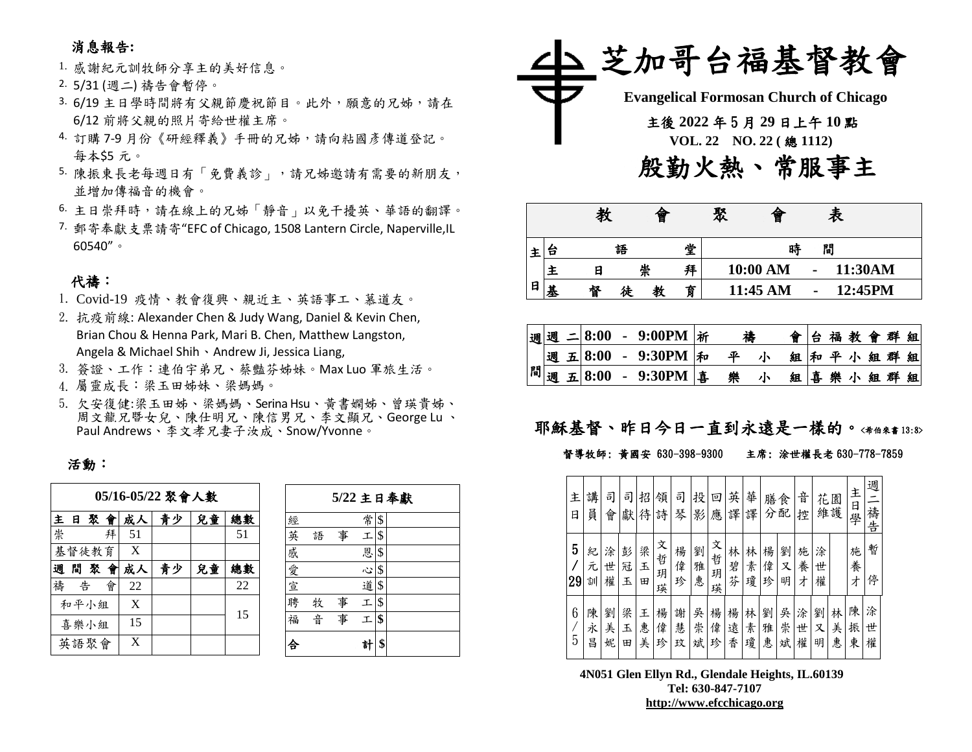## 消息報告**:**

- 1. 感謝紀元訓牧師分享主的美好信息。
- 2. 5/31 (週二) 禱告會暫停。
- 3. 6/19 主日學時間將有父親節慶祝節目。此外,願意的兄姊,請在 6/12 前將父親的照片寄給世權主席。
- 4. 訂購 7-9 月份《研經釋義》手冊的兄姊,請向粘國彥傳道登記。 每本\$5 元。
- 5. 陳振東長老每週日有「免費義診」,請兄姊邀請有需要的新朋友, 並增加傳福音的機會。
- 6. 主日崇拜時,請在線上的兄姊「靜音」以免干擾英、華語的翻譯。
- 7. 郵寄奉獻支票請寄"EFC of Chicago, 1508 Lantern Circle, Naperville,IL 60540"。

## 代禱:

- 1. Covid-19 疫情、教會復興、親近主、英語事工、慕道友。
- 2. 抗疫前線: Alexander Chen & Judy Wang, Daniel & Kevin Chen, Brian Chou & Henna Park, Mari B. Chen, Matthew Langston, Angela & Michael Shih、Andrew Ji, Jessica Liang,
- 3. 簽證、工作:連伯宇弟兄、蔡豔芬姊妹。Max Luo 軍旅生活。 4. 屬靈成長:梁玉田姊妹、梁媽媽。
- 5. 欠安復健:梁玉田姊、梁媽媽、Serina Hsu、黃書嫻姊、曾瑛貴姊、 周文龍兄暨女兒、陳仕明兄、陳信男兄、李文顯兄、George Lu 、 Paul Andrews、李文孝兄妻子汝成、Snow/Yvonne。

### 活動:

| 05/16-05/22 聚會人數 |  |       |   |        |    |    |    |  |  |
|------------------|--|-------|---|--------|----|----|----|--|--|
|                  |  |       |   | 主日聚會成人 | 青少 | 兒童 | 總數 |  |  |
| 崇                |  |       | 拜 | 51     |    |    | 51 |  |  |
|                  |  | 基督徒教育 |   | X      |    |    |    |  |  |
| 週                |  | 間聚會   |   | 成人     | 青少 | 兒童 | 總數 |  |  |
| 禱                |  | 告     | 會 | 22     |    |    | 22 |  |  |
|                  |  | 和平小組  |   | X      |    |    | 15 |  |  |
|                  |  | 喜樂小組  |   | 15     |    |    |    |  |  |
|                  |  | 英語聚會  |   | X      |    |    |    |  |  |

|     |   |   |                 | 5/22 主日奉獻 |
|-----|---|---|-----------------|-----------|
| 經   |   |   | 常               | \$        |
| 英   | 語 | 事 | エ               | \$        |
| 感愛宣 |   |   | 恩               | \$        |
|     |   |   | $\ddot{\omega}$ | \$        |
|     |   |   | 道               | \$        |
| 聘   | 牧 | 事 | 工               | \$        |
| 福   | 音 | 事 | 工               | \$        |
|     |   |   | 헑               |           |



|   |   | 教 |   | 冒 |   | 聚 | 曾        |   | 表 |         |
|---|---|---|---|---|---|---|----------|---|---|---------|
| 王 | Б |   | 語 |   | 堂 |   | 時        | 閒 |   |         |
|   |   |   | 崇 |   | 拜 |   | 10:00 AM |   |   | 11:30AM |
| 日 | 基 | 督 | 徒 |   | 育 |   | 11:45 AM |   |   | 12:45PM |

|  |  | 週週 二8:00 - 9:00PM $ \v{m} $ | 禱 |   |  |  | 會台福教會群組 |  |
|--|--|-----------------------------|---|---|--|--|---------|--|
|  |  | 週 五  8:00 - 9:30PM  和       | 平 | 朩 |  |  | 組和平小組群組 |  |
|  |  | 間週五8:00 - 9:30PM 事          | 樂 | 小 |  |  | 組喜樂小組群組 |  |

# 耶穌基督、昨日今日一直到永遠是一樣的。<希伯來書13:8>

#### 督導牧師: 黃國安 630-398-9300 主席: 涂世權長老 630-778-7859

| 主<br>日  | 講<br>員      | 司<br>會      | 司<br>獻      | 招<br>待      | 領<br>詩           | 司<br>琴      | 投<br>影      | 回<br>應           | 英<br>譯      | 華<br>譯      | 膳<br>分      | 食<br>配      | 音<br>控      | 花           | 園<br>維護     | 主<br>日學     | 週<br>禱告     |
|---------|-------------|-------------|-------------|-------------|------------------|-------------|-------------|------------------|-------------|-------------|-------------|-------------|-------------|-------------|-------------|-------------|-------------|
| 5<br>29 | 紀<br>元<br>訓 | 涂<br>世<br>權 | 彭<br>冠<br>玉 | 梁<br>玉<br>田 | 文<br>哲<br>玥<br>瑛 | 楊<br>偉<br>珍 | 劉<br>雅<br>惠 | 文<br>哲<br>玥<br>瑛 | 林<br>碧<br>芬 | 林<br>素<br>瓊 | 楊<br>偉<br>珍 | 劉<br>又<br>明 | 施<br>養<br>才 | 涂<br>世<br>權 |             | 施<br>養<br>才 | 暫<br>停      |
| 6<br>5  | 陳<br>永<br>昌 | 劉<br>美<br>妮 | 梁<br>玉<br>田 | 王<br>惠<br>美 | 楊<br>偉<br>珍      | 謝<br>慧<br>玟 | 吳<br>崇<br>斌 | 楊<br>偉<br>珍      | 楊<br>遠<br>香 | 林<br>素<br>瓊 | 劉<br>雅<br>惠 | 吳<br>崇<br>斌 | 涂<br>世<br>權 | 劉<br>又<br>明 | 林<br>美<br>惠 | 陳<br>振<br>東 | 涂<br>世<br>權 |

**4N051 Glen Ellyn Rd., Glendale Heights, IL.60139 Tel: 630-847-7107 [http://www.efcchicago.org](http://www.efcchicago.org/)**